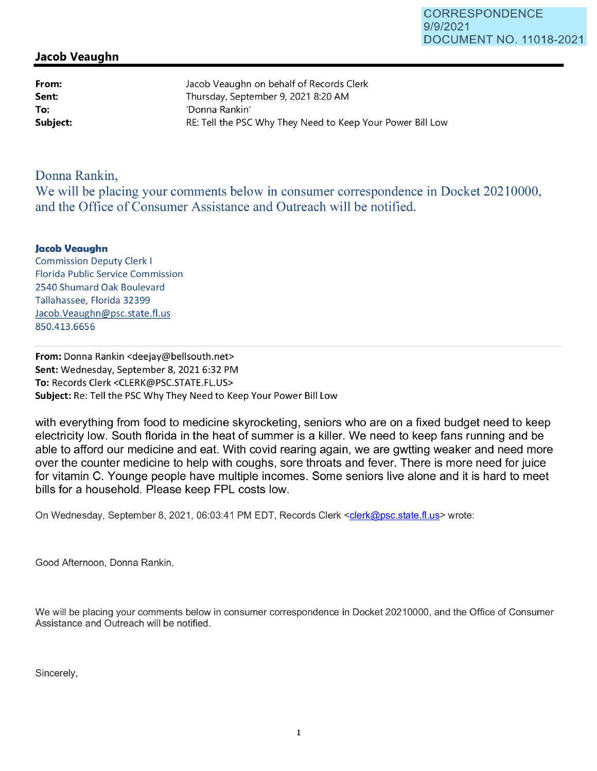## **Jacob Veaughn**

**From: Sent: To:** 

Jacob Veaughn on behalf of Records Clerk Thursday, September 9, 2021 8:20 **AM**  'Donna Rankin' **Subject: RE:** Tell the PSC Why They Need to Keep Your Power Bill Low

## Donna Rankin,

We will be placing your comments below in consumer correspondence in Docket 20210000, and the Office of Consumer Assistance and Outreach will be notified.

## **Jacob Veaughn**

Commission Deputy Clerk I Florida Public Service Commission 2540 Shumard Oak Boulevard Tallahassee, Florida 32399 Jacob.Veaughn@psc.state.fl.us 850.413.6656

**From:** Donna Rankin <deejay@bellsouth.net> **Sent:** Wednesday, September 8, 2021 6:32 PM **To:** Records Clerk <CLERK@PSC.STATE.FL.US> **Subject:** Re: Tell the PSC Why They Need to Keep Your Power Bill Low

with everything from food to medicine skyrocketing, seniors who are on a fixed budget need to keep electricity low. South florida in the heat of summer is a killer. We need to keep fans running and be able to afford our medicine and eat. With covid rearing again, we are gwtting weaker and need more over the counter medicine to help with coughs, sore throats and fever. There is more need for juice for vitamin C. Younge people have multiple incomes. Some seniors live alone and it is hard to meet bills for a household. Please keep FPL costs low.

On Wednesday, September 8, 2021, 06:03:41 PM EDT, Records Clerk <clerk@psc.state.fl.us> wrote:

Good Afternoon, Donna Rankin,

We will be placing your comments below in consumer correspondence in Docket 20210000, and the Office of Consumer Assistance and Outreach will be notified.

Sincerely,